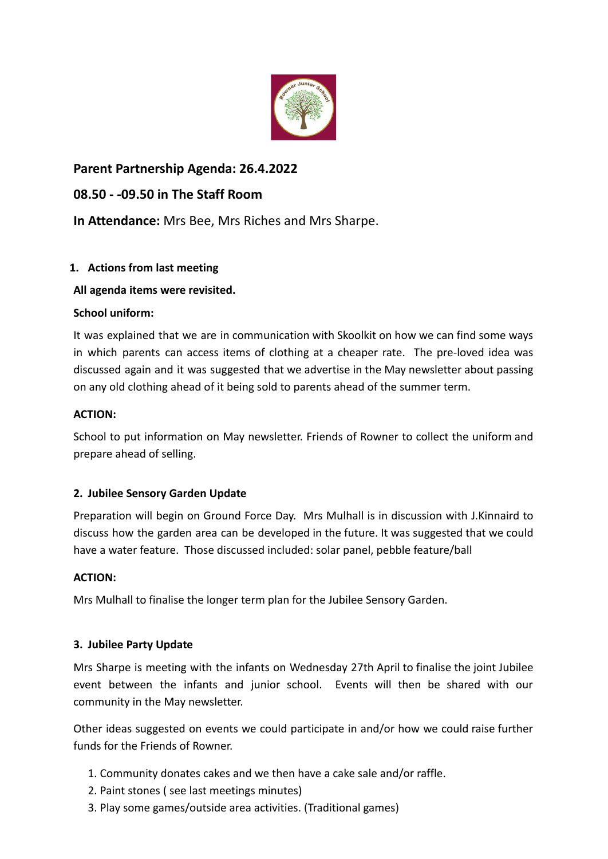

# **Parent Partnership Agenda: 26.4.2022**

## **08.50 - -09.50 in The Staff Room**

**In Attendance:** Mrs Bee, Mrs Riches and Mrs Sharpe.

## **1. Actions from last meeting**

## **All agenda items were revisited.**

### **School uniform:**

It was explained that we are in communication with Skoolkit on how we can find some ways in which parents can access items of clothing at a cheaper rate. The pre-loved idea was discussed again and it was suggested that we advertise in the May newsletter about passing on any old clothing ahead of it being sold to parents ahead of the summer term.

### **ACTION:**

School to put information on May newsletter. Friends of Rowner to collect the uniform and prepare ahead of selling.

## **2. Jubilee Sensory Garden Update**

Preparation will begin on Ground Force Day. Mrs Mulhall is in discussion with J.Kinnaird to discuss how the garden area can be developed in the future. It was suggested that we could have a water feature. Those discussed included: solar panel, pebble feature/ball

### **ACTION:**

Mrs Mulhall to finalise the longer term plan for the Jubilee Sensory Garden.

## **3. Jubilee Party Update**

Mrs Sharpe is meeting with the infants on Wednesday 27th April to finalise the joint Jubilee event between the infants and junior school. Events will then be shared with our community in the May newsletter.

Other ideas suggested on events we could participate in and/or how we could raise further funds for the Friends of Rowner.

- 1. Community donates cakes and we then have a cake sale and/or raffle.
- 2. Paint stones ( see last meetings minutes)
- 3. Play some games/outside area activities. (Traditional games)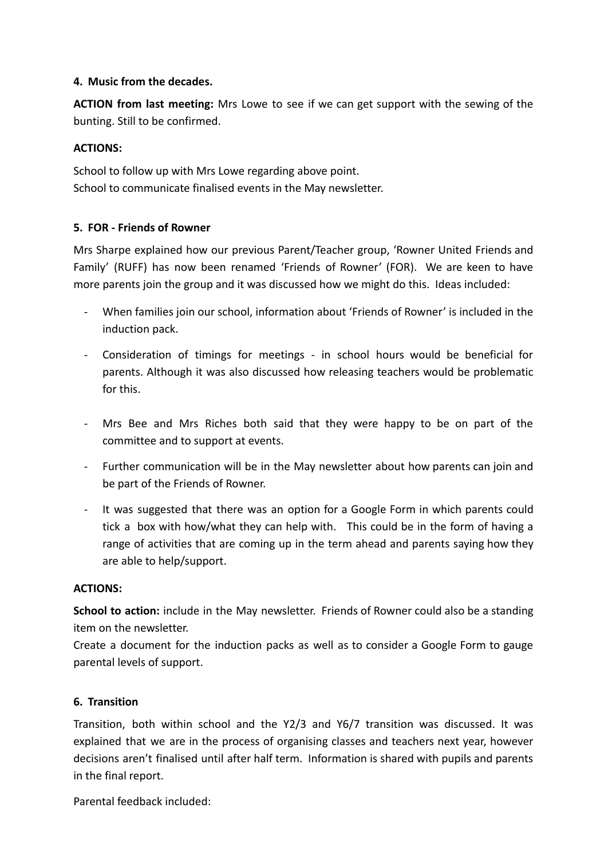### **4. Music from the decades.**

**ACTION from last meeting:** Mrs Lowe to see if we can get support with the sewing of the bunting. Still to be confirmed.

### **ACTIONS:**

School to follow up with Mrs Lowe regarding above point. School to communicate finalised events in the May newsletter.

### **5. FOR - Friends of Rowner**

Mrs Sharpe explained how our previous Parent/Teacher group, 'Rowner United Friends and Family' (RUFF) has now been renamed 'Friends of Rowner' (FOR). We are keen to have more parents join the group and it was discussed how we might do this. Ideas included:

- When families join our school, information about 'Friends of Rowner' is included in the induction pack.
- Consideration of timings for meetings in school hours would be beneficial for parents. Although it was also discussed how releasing teachers would be problematic for this.
- Mrs Bee and Mrs Riches both said that they were happy to be on part of the committee and to support at events.
- Further communication will be in the May newsletter about how parents can join and be part of the Friends of Rowner.
- It was suggested that there was an option for a Google Form in which parents could tick a box with how/what they can help with. This could be in the form of having a range of activities that are coming up in the term ahead and parents saying how they are able to help/support.

#### **ACTIONS:**

**School to action:** include in the May newsletter. Friends of Rowner could also be a standing item on the newsletter.

Create a document for the induction packs as well as to consider a Google Form to gauge parental levels of support.

#### **6. Transition**

Transition, both within school and the Y2/3 and Y6/7 transition was discussed. It was explained that we are in the process of organising classes and teachers next year, however decisions aren't finalised until after half term. Information is shared with pupils and parents in the final report.

Parental feedback included: